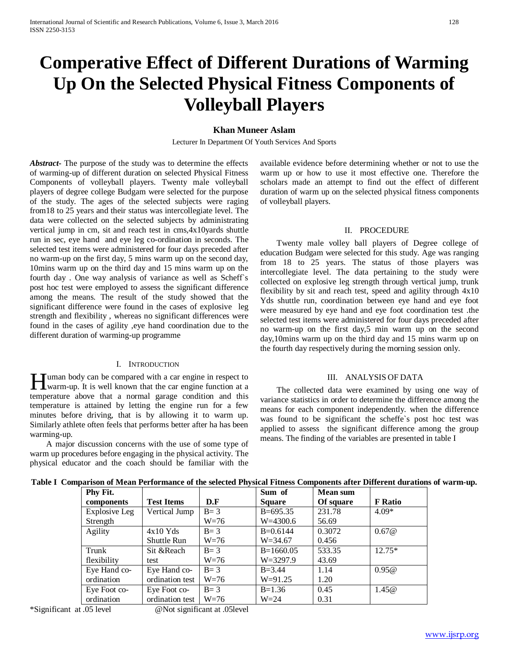# **Comperative Effect of Different Durations of Warming Up On the Selected Physical Fitness Components of Volleyball Players**

## **Khan Muneer Aslam**

Lecturer In Department Of Youth Services And Sports

*Abstract***-** The purpose of the study was to determine the effects of warming-up of different duration on selected Physical Fitness Components of volleyball players. Twenty male volleyball players of degree college Budgam were selected for the purpose of the study. The ages of the selected subjects were raging from18 to 25 years and their status was intercollegiate level. The data were collected on the selected subjects by administrating vertical jump in cm, sit and reach test in cms,4x10yards shuttle run in sec, eye hand and eye leg co-ordination in seconds. The selected test items were administered for four days preceded after no warm-up on the first day, 5 mins warm up on the second day, 10mins warm up on the third day and 15 mins warm up on the fourth day . One way analysis of variance as well as Scheff`s post hoc test were employed to assess the significant difference among the means. The result of the study showed that the significant difference were found in the cases of explosive leg strength and flexibility , whereas no significant differences were found in the cases of agility ,eye hand coordination due to the different duration of warming-up programme

#### I. INTRODUCTION

uman body can be compared with a car engine in respect to **H** uman body can be compared with a car engine in respect to warm-up. It is well known that the car engine function at a temperature above that a normal garage condition and this temperature is attained by letting the engine run for a few minutes before driving, that is by allowing it to warm up. Similarly athlete often feels that performs better after ha has been warming-up.

 A major discussion concerns with the use of some type of warm up procedures before engaging in the physical activity. The physical educator and the coach should be familiar with the available evidence before determining whether or not to use the warm up or how to use it most effective one. Therefore the scholars made an attempt to find out the effect of different duration of warm up on the selected physical fitness components of volleyball players.

### II. PROCEDURE

 Twenty male volley ball players of Degree college of education Budgam were selected for this study. Age was ranging from 18 to 25 years. The status of those players was intercollegiate level. The data pertaining to the study were collected on explosive leg strength through vertical jump, trunk flexibility by sit and reach test, speed and agility through 4x10 Yds shuttle run, coordination between eye hand and eye foot were measured by eye hand and eye foot coordination test .the selected test items were administered for four days preceded after no warm-up on the first day,5 min warm up on the second day,10mins warm up on the third day and 15 mins warm up on the fourth day respectively during the morning session only.

#### III. ANALYSIS OF DATA

 The collected data were examined by using one way of variance statistics in order to determine the difference among the means for each component independently. when the difference was found to be significant the scheffe`s post hoc test was applied to assess the significant difference among the group means. The finding of the variables are presented in table I

| Phy Fit.      |                   |         | Sum of        | <b>Mean sum</b> |                |
|---------------|-------------------|---------|---------------|-----------------|----------------|
| components    | <b>Test Items</b> | D.F     | <b>Square</b> | Of square       | <b>F</b> Ratio |
| Explosive Leg | Vertical Jump     | $B=3$   | $B=695.35$    | 231.78          | $4.09*$        |
| Strength      |                   | $W=76$  | $W=4300.6$    | 56.69           |                |
| Agility       | $4x10$ Yds        | $B=3$   | $B=0.6144$    | 0.3072          | 0.67@          |
|               | Shuttle Run       | $W=76$  | $W = 34.67$   | 0.456           |                |
| Trunk         | Sit & Reach       | $B=3$   | $B=1660.05$   | 533.35          | $12.75*$       |
| flexibility   | test              | $W=76$  | $W = 3297.9$  | 43.69           |                |
| Eye Hand co-  | Eye Hand co-      | $B=3$   | $B = 3.44$    | 1.14            | 0.95@          |
| ordination    | ordination test   | $W=76$  | $W = 91.25$   | 1.20            |                |
| Eye Foot co-  | Eye Foot co-      | $B = 3$ | $B=1.36$      | 0.45            | 1.45@          |
| ordination    | ordination test   | $W=76$  | $W = 24$      | 0.31            |                |

**Table I Comparison of Mean Performance of the selected Physical Fitness Components after Different durations of warm-up.**

\*Significant at .05 level @Not significant at .05level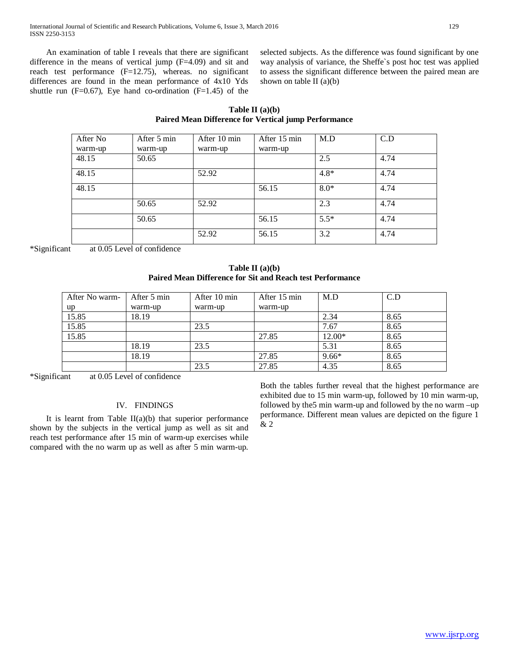An examination of table I reveals that there are significant difference in the means of vertical jump (F=4.09) and sit and reach test performance (F=12.75), whereas. no significant differences are found in the mean performance of 4x10 Yds shuttle run ( $F=0.67$ ), Eye hand co-ordination ( $F=1.45$ ) of the selected subjects. As the difference was found significant by one way analysis of variance, the Sheffe`s post hoc test was applied to assess the significant difference between the paired mean are shown on table II  $(a)(b)$ 

**Table II (a)(b) Paired Mean Difference for Vertical jump Performance**

| After No | After 5 min | After 10 min | After 15 min | M.D    | C.D  |
|----------|-------------|--------------|--------------|--------|------|
| warm-up  | warm-up     | warm-up      | warm-up      |        |      |
| 48.15    | 50.65       |              |              | 2.5    | 4.74 |
| 48.15    |             | 52.92        |              | $4.8*$ | 4.74 |
| 48.15    |             |              | 56.15        | $8.0*$ | 4.74 |
|          | 50.65       | 52.92        |              | 2.3    | 4.74 |
|          | 50.65       |              | 56.15        | $5.5*$ | 4.74 |
|          |             | 52.92        | 56.15        | 3.2    | 4.74 |

\*Significant at 0.05 Level of confidence

**Table II (a)(b) Paired Mean Difference for Sit and Reach test Performance**

| After No warm- | After 5 min | After 10 min | After 15 min | M.D     | C.D  |
|----------------|-------------|--------------|--------------|---------|------|
| up             | warm-up     | warm-up      | warm-up      |         |      |
| 15.85          | 18.19       |              |              | 2.34    | 8.65 |
| 15.85          |             | 23.5         |              | 7.67    | 8.65 |
| 15.85          |             |              | 27.85        | 12.00*  | 8.65 |
|                | 18.19       | 23.5         |              | 5.31    | 8.65 |
|                | 18.19       |              | 27.85        | $9.66*$ | 8.65 |
|                |             | 23.5         | 27.85        | 4.35    | 8.65 |

\*Significant at 0.05 Level of confidence

#### IV. FINDINGS

It is learnt from Table  $II(a)(b)$  that superior performance shown by the subjects in the vertical jump as well as sit and reach test performance after 15 min of warm-up exercises while compared with the no warm up as well as after 5 min warm-up.

Both the tables further reveal that the highest performance are exhibited due to 15 min warm-up, followed by 10 min warm-up, followed by the5 min warm-up and followed by the no warm –up performance. Different mean values are depicted on the figure 1 & 2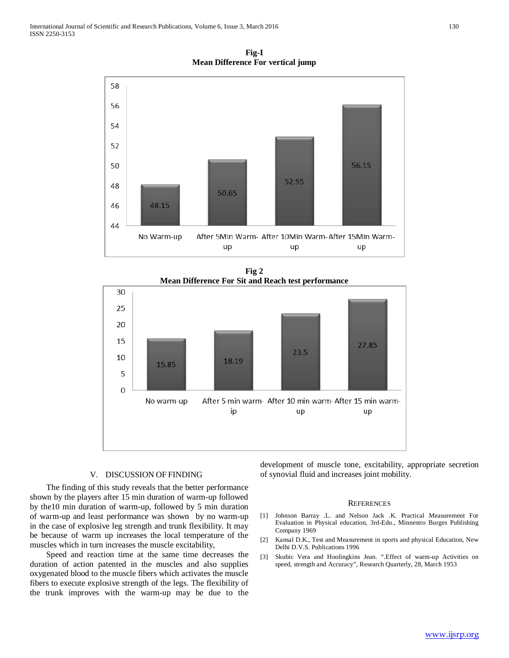**Fig-I Mean Difference For vertical jump**



**Fig 2 Mean Difference For Sit and Reach test performance**



#### V. DISCUSSION OF FINDING

 The finding of this study reveals that the better performance shown by the players after 15 min duration of warm-up followed by the10 min duration of warm-up, followed by 5 min duration of warm-up and least performance was shown by no warm-up in the case of explosive leg strength and trunk flexibility. It may be because of warm up increases the local temperature of the muscles which in turn increases the muscle excitability,

 Speed and reaction time at the same time decreases the duration of action patented in the muscles and also supplies oxygenated blood to the muscle fibers which activates the muscle fibers to execute explosive strength of the legs. The flexibility of the trunk improves with the warm-up may be due to the development of muscle tone, excitability, appropriate secretion of synovial fluid and increases joint mobility.

#### **REFERENCES**

- [1] Johnson Barray .L. and Nelson Jack .K. Practical Measurement For Evaluation in Physical education, 3rd-Edu., Minnestro Burges Publishing Company 1969
- [2] Kansal D.K., Test and Measurement in sports and physical Education, New Delhi D.V.S. Publications 1996
- [3] Skubic Vera and Hoolingkins Jean. ".Effect of warm-up Activities on speed, strength and Accuracy", Research Quarterly, 28, March 1953